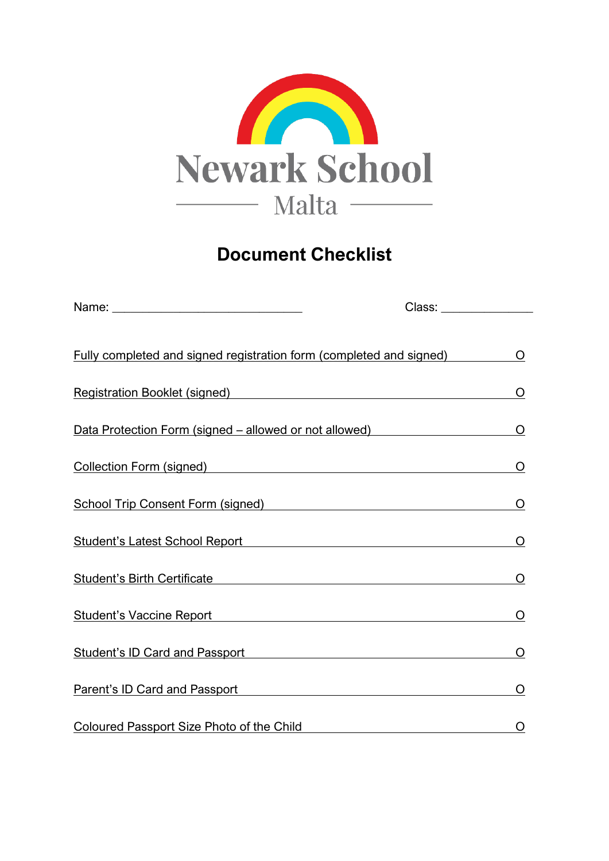

# **Document Checklist**

| Fully completed and signed registration form (completed and signed)                                                                                                                                                                 | $\circ$ |
|-------------------------------------------------------------------------------------------------------------------------------------------------------------------------------------------------------------------------------------|---------|
| <b>Registration Booklet (signed)</b> Neglection of the state of the state of the state of the state of the state of the state of the state of the state of the state of the state of the state of the state of the state of the sta | $\circ$ |
| Data Protection Form (signed – allowed or not allowed)                                                                                                                                                                              | O       |
| Collection Form (signed) Collection Form (signed)                                                                                                                                                                                   | O       |
| School Trip Consent Form (signed)<br>School Trip Consent Form (signed)                                                                                                                                                              | Ő       |
| Student's Latest School Report <b>Constant Constant Constant Constant Constant Constant Constant Constant Constant</b>                                                                                                              | O       |
| Student's Birth Certificate <b>Example 2018</b> Student's Birth Certificate                                                                                                                                                         | $\circ$ |
| Student's Vaccine Report and the students of the student's Vaccine Report                                                                                                                                                           | O       |
| Student's ID Card and Passport <b>Example 2014</b> Student's ID Card and Passport                                                                                                                                                   | O       |
| Parent's ID Card and Passport <b>Example 20</b> February 2014                                                                                                                                                                       | O       |
| Coloured Passport Size Photo of the Child                                                                                                                                                                                           | O       |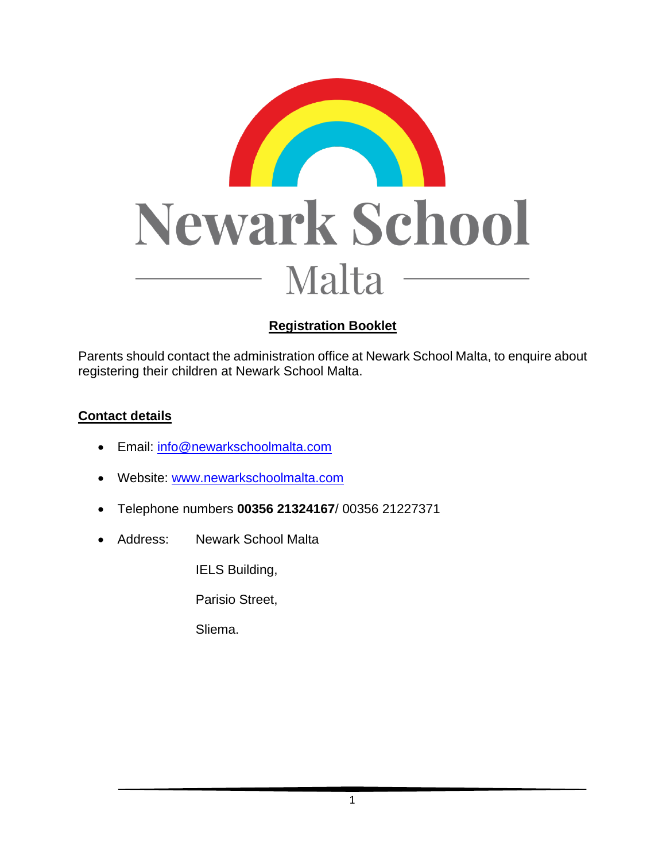

### **Registration Booklet**

Parents should contact the administration office at Newark School Malta, to enquire about registering their children at Newark School Malta.

#### **Contact details**

- Email: [info@newarkschoolmalta.com](mailto:info@newarkschoolmalta.com)
- Website: [www.newarkschoolmalta.com](http://www.newarkschoolmalta.com/)
- Telephone numbers **00356 21324167**/ 00356 21227371
- Address: Newark School Malta

IELS Building,

Parisio Street,

Sliema.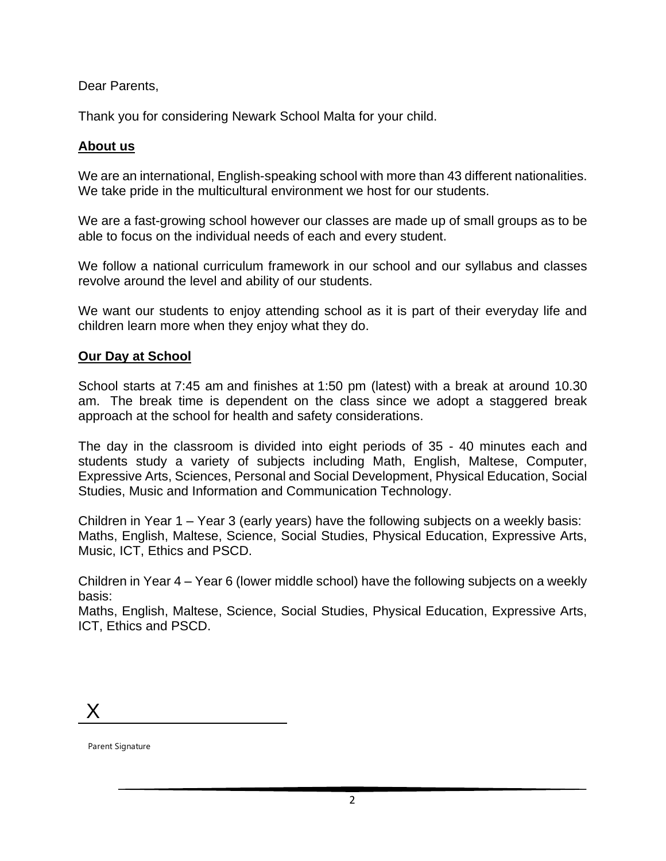Dear Parents,

Thank you for considering Newark School Malta for your child.

#### **About us**

We are an international, English-speaking school with more than 43 different nationalities. We take pride in the multicultural environment we host for our students.

We are a fast-growing school however our classes are made up of small groups as to be able to focus on the individual needs of each and every student.

We follow a national curriculum framework in our school and our syllabus and classes revolve around the level and ability of our students.

We want our students to enjoy attending school as it is part of their everyday life and children learn more when they enjoy what they do.

#### **Our Day at School**

School starts at 7:45 am and finishes at 1:50 pm (latest) with a break at around 10.30 am. The break time is dependent on the class since we adopt a staggered break approach at the school for health and safety considerations.

The day in the classroom is divided into eight periods of 35 - 40 minutes each and students study a variety of subjects including Math, English, Maltese, Computer, Expressive Arts, Sciences, Personal and Social Development, Physical Education, Social Studies, Music and Information and Communication Technology.

Children in Year 1 – Year 3 (early years) have the following subjects on a weekly basis: Maths, English, Maltese, Science, Social Studies, Physical Education, Expressive Arts, Music, ICT, Ethics and PSCD.

Children in Year 4 – Year 6 (lower middle school) have the following subjects on a weekly basis:

Maths, English, Maltese, Science, Social Studies, Physical Education, Expressive Arts, ICT, Ethics and PSCD.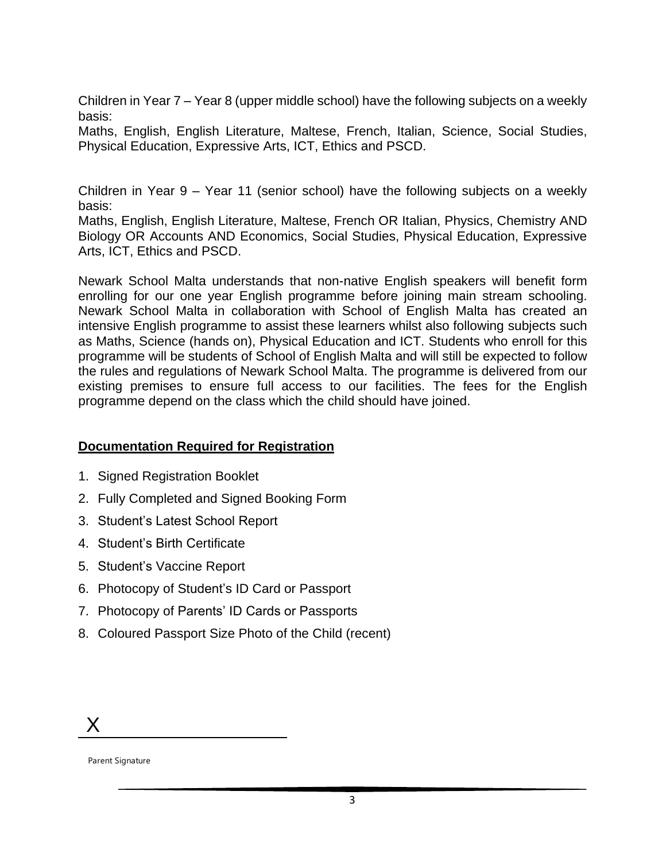Children in Year 7 – Year 8 (upper middle school) have the following subjects on a weekly basis:

Maths, English, English Literature, Maltese, French, Italian, Science, Social Studies, Physical Education, Expressive Arts, ICT, Ethics and PSCD.

Children in Year 9 – Year 11 (senior school) have the following subjects on a weekly basis:

Maths, English, English Literature, Maltese, French OR Italian, Physics, Chemistry AND Biology OR Accounts AND Economics, Social Studies, Physical Education, Expressive Arts, ICT, Ethics and PSCD.

Newark School Malta understands that non-native English speakers will benefit form enrolling for our one year English programme before joining main stream schooling. Newark School Malta in collaboration with School of English Malta has created an intensive English programme to assist these learners whilst also following subjects such as Maths, Science (hands on), Physical Education and ICT. Students who enroll for this programme will be students of School of English Malta and will still be expected to follow the rules and regulations of Newark School Malta. The programme is delivered from our existing premises to ensure full access to our facilities. The fees for the English programme depend on the class which the child should have joined.

#### **Documentation Required for Registration**

- 1. Signed Registration Booklet
- 2. Fully Completed and Signed Booking Form
- 3. Student's Latest School Report
- 4. Student's Birth Certificate
- 5. Student's Vaccine Report
- 6. Photocopy of Student's ID Card or Passport
- 7. Photocopy of Parents' ID Cards or Passports
- 8. Coloured Passport Size Photo of the Child (recent)

## X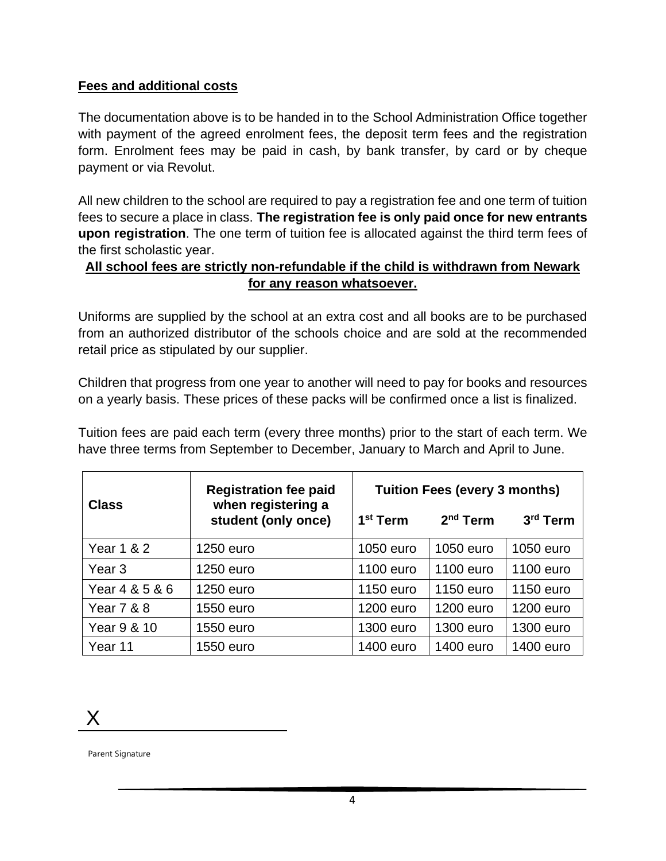#### **Fees and additional costs**

The documentation above is to be handed in to the School Administration Office together with payment of the agreed enrolment fees, the deposit term fees and the registration form. Enrolment fees may be paid in cash, by bank transfer, by card or by cheque payment or via Revolut.

All new children to the school are required to pay a registration fee and one term of tuition fees to secure a place in class. **The registration fee is only paid once for new entrants upon registration**. The one term of tuition fee is allocated against the third term fees of the first scholastic year.

#### **All school fees are strictly non-refundable if the child is withdrawn from Newark for any reason whatsoever.**

Uniforms are supplied by the school at an extra cost and all books are to be purchased from an authorized distributor of the schools choice and are sold at the recommended retail price as stipulated by our supplier.

Children that progress from one year to another will need to pay for books and resources on a yearly basis. These prices of these packs will be confirmed once a list is finalized.

Tuition fees are paid each term (every three months) prior to the start of each term. We have three terms from September to December, January to March and April to June.

| <b>Class</b>   | <b>Registration fee paid</b><br>when registering a | <b>Tuition Fees (every 3 months)</b> |            |           |
|----------------|----------------------------------------------------|--------------------------------------|------------|-----------|
|                | student (only once)                                | 1 <sup>st</sup> Term                 | $2nd$ Term | 3rd Term  |
| Year 1 & 2     | 1250 euro                                          | 1050 euro                            | 1050 euro  | 1050 euro |
| Year 3         | 1250 euro                                          | 1100 euro                            | 1100 euro  | 1100 euro |
| Year 4 & 5 & 6 | 1250 euro                                          | 1150 euro                            | 1150 euro  | 1150 euro |
| Year 7 & 8     | 1550 euro                                          | 1200 euro                            | 1200 euro  | 1200 euro |
| Year 9 & 10    | 1550 euro                                          | 1300 euro                            | 1300 euro  | 1300 euro |
| Year 11        | 1550 euro                                          | 1400 euro                            | 1400 euro  | 1400 euro |

X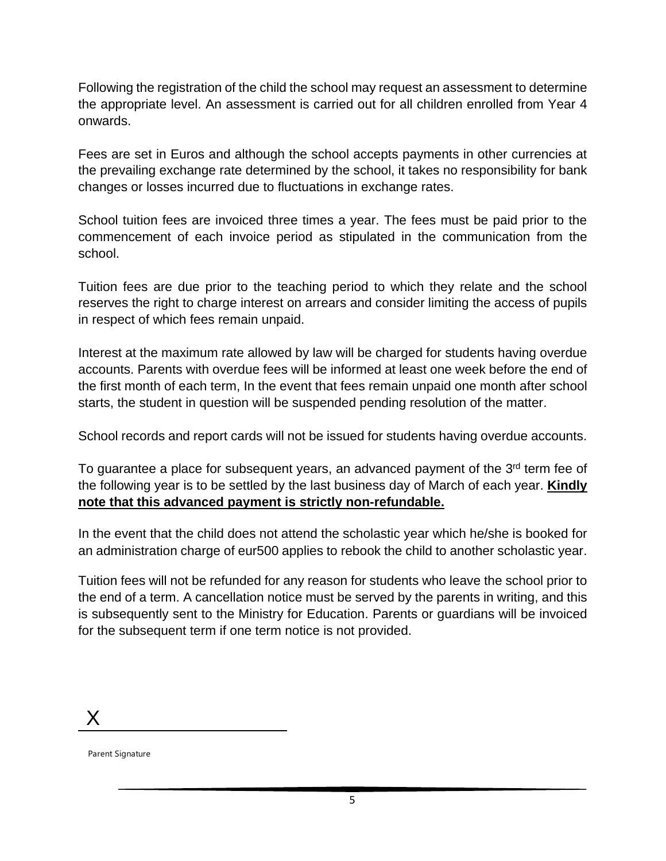Following the registration of the child the school may request an assessment to determine the appropriate level. An assessment is carried out for all children enrolled from Year 4 onwards.

Fees are set in Euros and although the school accepts payments in other currencies at the prevailing exchange rate determined by the school, it takes no responsibility for bank changes or losses incurred due to fluctuations in exchange rates.

School tuition fees are invoiced three times a year. The fees must be paid prior to the commencement of each invoice period as stipulated in the communication from the school.

Tuition fees are due prior to the teaching period to which they relate and the school reserves the right to charge interest on arrears and consider limiting the access of pupils in respect of which fees remain unpaid.

Interest at the maximum rate allowed by law will be charged for students having overdue accounts. Parents with overdue fees will be informed at least one week before the end of the first month of each term, In the event that fees remain unpaid one month after school starts, the student in question will be suspended pending resolution of the matter.

School records and report cards will not be issued for students having overdue accounts.

To guarantee a place for subsequent years, an advanced payment of the 3<sup>rd</sup> term fee of the following year is to be settled by the last business day of March of each year. **Kindly note that this advanced payment is strictly non-refundable.**

In the event that the child does not attend the scholastic year which he/she is booked for an administration charge of eur500 applies to rebook the child to another scholastic year.

Tuition fees will not be refunded for any reason for students who leave the school prior to the end of a term. A cancellation notice must be served by the parents in writing, and this is subsequently sent to the Ministry for Education. Parents or guardians will be invoiced for the subsequent term if one term notice is not provided.

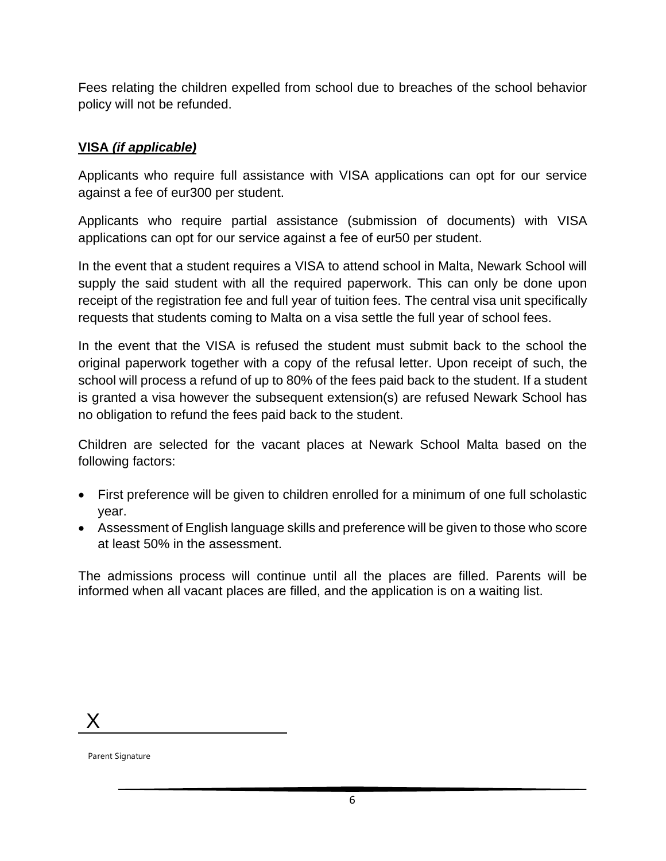Fees relating the children expelled from school due to breaches of the school behavior policy will not be refunded.

#### **VISA** *(if applicable)*

Applicants who require full assistance with VISA applications can opt for our service against a fee of eur300 per student.

Applicants who require partial assistance (submission of documents) with VISA applications can opt for our service against a fee of eur50 per student.

In the event that a student requires a VISA to attend school in Malta, Newark School will supply the said student with all the required paperwork. This can only be done upon receipt of the registration fee and full year of tuition fees. The central visa unit specifically requests that students coming to Malta on a visa settle the full year of school fees.

In the event that the VISA is refused the student must submit back to the school the original paperwork together with a copy of the refusal letter. Upon receipt of such, the school will process a refund of up to 80% of the fees paid back to the student. If a student is granted a visa however the subsequent extension(s) are refused Newark School has no obligation to refund the fees paid back to the student.

Children are selected for the vacant places at Newark School Malta based on the following factors:

- First preference will be given to children enrolled for a minimum of one full scholastic year.
- Assessment of English language skills and preference will be given to those who score at least 50% in the assessment.

The admissions process will continue until all the places are filled. Parents will be informed when all vacant places are filled, and the application is on a waiting list.

X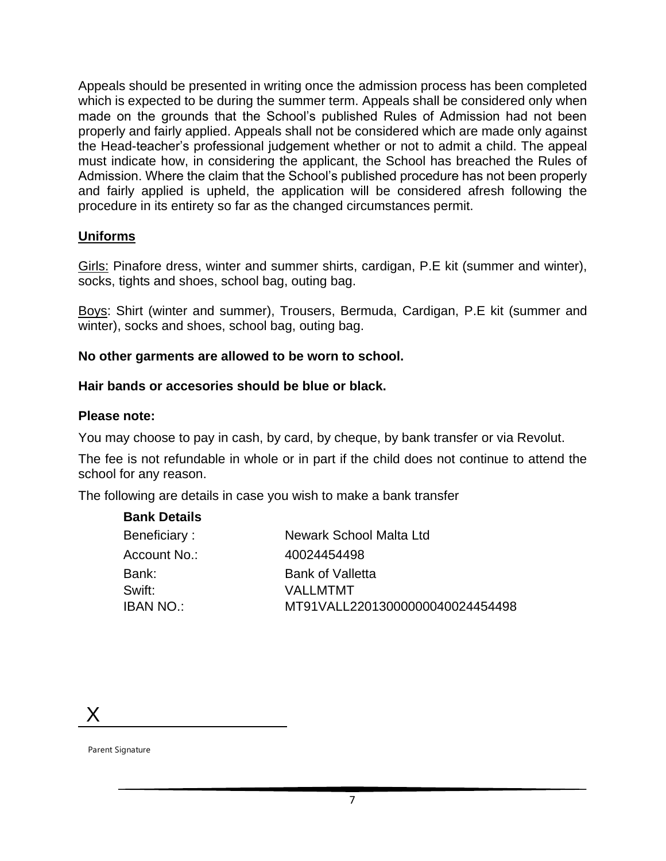Appeals should be presented in writing once the admission process has been completed which is expected to be during the summer term. Appeals shall be considered only when made on the grounds that the School's published Rules of Admission had not been properly and fairly applied. Appeals shall not be considered which are made only against the Head-teacher's professional judgement whether or not to admit a child. The appeal must indicate how, in considering the applicant, the School has breached the Rules of Admission. Where the claim that the School's published procedure has not been properly and fairly applied is upheld, the application will be considered afresh following the procedure in its entirety so far as the changed circumstances permit.

#### **Uniforms**

Girls: Pinafore dress, winter and summer shirts, cardigan, P.E kit (summer and winter), socks, tights and shoes, school bag, outing bag.

Boys: Shirt (winter and summer), Trousers, Bermuda, Cardigan, P.E kit (summer and winter), socks and shoes, school bag, outing bag.

#### **No other garments are allowed to be worn to school.**

#### **Hair bands or accesories should be blue or black.**

#### **Please note:**

You may choose to pay in cash, by card, by cheque, by bank transfer or via Revolut.

The fee is not refundable in whole or in part if the child does not continue to attend the school for any reason.

The following are details in case you wish to make a bank transfer

| Newark School Malta Ltd         |
|---------------------------------|
| 40024454498                     |
| <b>Bank of Valletta</b>         |
| VAI I MTMT                      |
| MT91VALL22013000000040024454498 |
|                                 |

X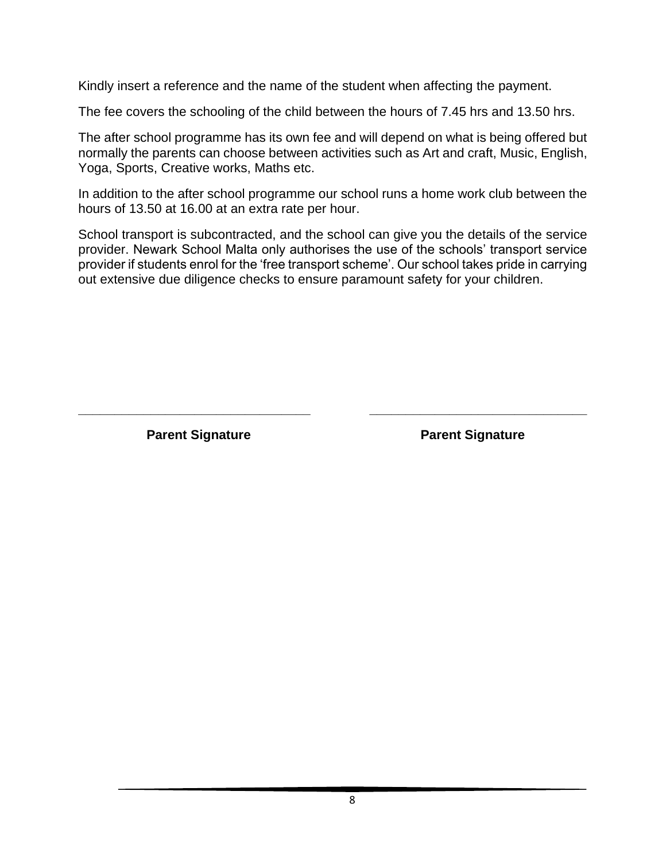Kindly insert a reference and the name of the student when affecting the payment.

The fee covers the schooling of the child between the hours of 7.45 hrs and 13.50 hrs.

The after school programme has its own fee and will depend on what is being offered but normally the parents can choose between activities such as Art and craft, Music, English, Yoga, Sports, Creative works, Maths etc.

In addition to the after school programme our school runs a home work club between the hours of 13.50 at 16.00 at an extra rate per hour.

School transport is subcontracted, and the school can give you the details of the service provider. Newark School Malta only authorises the use of the schools' transport service provider if students enrol for the 'free transport scheme'. Our school takes pride in carrying out extensive due diligence checks to ensure paramount safety for your children.

**\_\_\_\_\_\_\_\_\_\_\_\_\_\_\_\_\_\_\_\_\_\_\_\_\_\_\_\_\_\_\_\_ \_\_\_\_\_\_\_\_\_\_\_\_\_\_\_\_\_\_\_\_\_\_\_\_\_\_\_\_\_\_** 

**Parent Signature Parent Signature**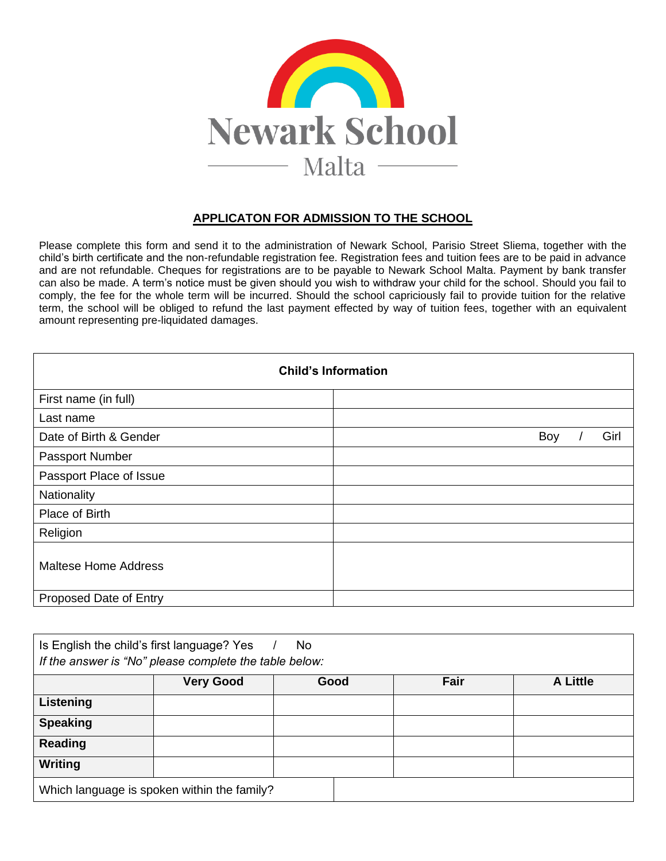

#### **APPLICATON FOR ADMISSION TO THE SCHOOL**

Please complete this form and send it to the administration of Newark School, Parisio Street Sliema, together with the child's birth certificate and the non-refundable registration fee. Registration fees and tuition fees are to be paid in advance and are not refundable. Cheques for registrations are to be payable to Newark School Malta. Payment by bank transfer can also be made. A term's notice must be given should you wish to withdraw your child for the school. Should you fail to comply, the fee for the whole term will be incurred. Should the school capriciously fail to provide tuition for the relative term, the school will be obliged to refund the last payment effected by way of tuition fees, together with an equivalent amount representing pre-liquidated damages.

|                             | <b>Child's Information</b> |
|-----------------------------|----------------------------|
| First name (in full)        |                            |
| Last name                   |                            |
| Date of Birth & Gender      | Girl<br>Boy                |
| Passport Number             |                            |
| Passport Place of Issue     |                            |
| Nationality                 |                            |
| Place of Birth              |                            |
| Religion                    |                            |
| <b>Maltese Home Address</b> |                            |
| Proposed Date of Entry      |                            |

| Is English the child's first language? Yes<br>No.<br>If the answer is "No" please complete the table below: |                  |      |      |                 |
|-------------------------------------------------------------------------------------------------------------|------------------|------|------|-----------------|
|                                                                                                             | <b>Very Good</b> | Good | Fair | <b>A Little</b> |
| Listening                                                                                                   |                  |      |      |                 |
| <b>Speaking</b>                                                                                             |                  |      |      |                 |
| <b>Reading</b>                                                                                              |                  |      |      |                 |
| Writing                                                                                                     |                  |      |      |                 |
| Which language is spoken within the family?                                                                 |                  |      |      |                 |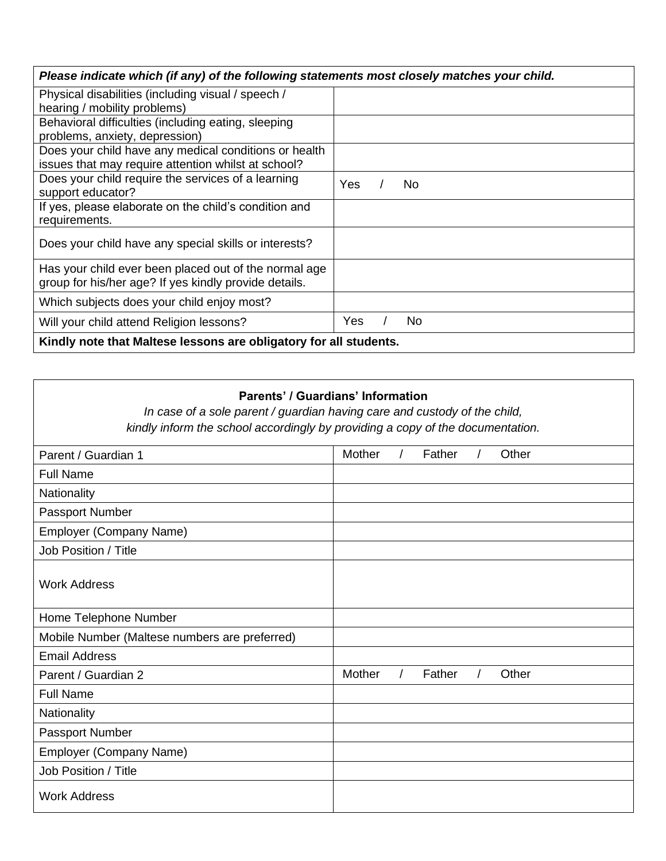| Please indicate which (if any) of the following statements most closely matches your child. |                       |  |
|---------------------------------------------------------------------------------------------|-----------------------|--|
| Physical disabilities (including visual / speech /                                          |                       |  |
| hearing / mobility problems)                                                                |                       |  |
| Behavioral difficulties (including eating, sleeping                                         |                       |  |
| problems, anxiety, depression)                                                              |                       |  |
| Does your child have any medical conditions or health                                       |                       |  |
| issues that may require attention whilst at school?                                         |                       |  |
| Does your child require the services of a learning                                          | Yes<br>N <sub>o</sub> |  |
| support educator?                                                                           |                       |  |
| If yes, please elaborate on the child's condition and                                       |                       |  |
| requirements.                                                                               |                       |  |
| Does your child have any special skills or interests?                                       |                       |  |
| Has your child ever been placed out of the normal age                                       |                       |  |
| group for his/her age? If yes kindly provide details.                                       |                       |  |
| Which subjects does your child enjoy most?                                                  |                       |  |
| Will your child attend Religion lessons?                                                    | Yes<br>No.            |  |
| Kindly note that Maltese lessons are obligatory for all students.                           |                       |  |

| Parents' / Guardians' Information<br>In case of a sole parent / guardian having care and custody of the child,<br>kindly inform the school accordingly by providing a copy of the documentation. |        |        |       |
|--------------------------------------------------------------------------------------------------------------------------------------------------------------------------------------------------|--------|--------|-------|
| Parent / Guardian 1                                                                                                                                                                              | Mother | Father | Other |
| <b>Full Name</b>                                                                                                                                                                                 |        |        |       |
| Nationality                                                                                                                                                                                      |        |        |       |
| Passport Number                                                                                                                                                                                  |        |        |       |
| Employer (Company Name)                                                                                                                                                                          |        |        |       |
| Job Position / Title                                                                                                                                                                             |        |        |       |
| <b>Work Address</b>                                                                                                                                                                              |        |        |       |
| Home Telephone Number                                                                                                                                                                            |        |        |       |
| Mobile Number (Maltese numbers are preferred)                                                                                                                                                    |        |        |       |
| <b>Email Address</b>                                                                                                                                                                             |        |        |       |
| Parent / Guardian 2                                                                                                                                                                              | Mother | Father | Other |
| <b>Full Name</b>                                                                                                                                                                                 |        |        |       |
| Nationality                                                                                                                                                                                      |        |        |       |
| Passport Number                                                                                                                                                                                  |        |        |       |
| Employer (Company Name)                                                                                                                                                                          |        |        |       |
| Job Position / Title                                                                                                                                                                             |        |        |       |
| <b>Work Address</b>                                                                                                                                                                              |        |        |       |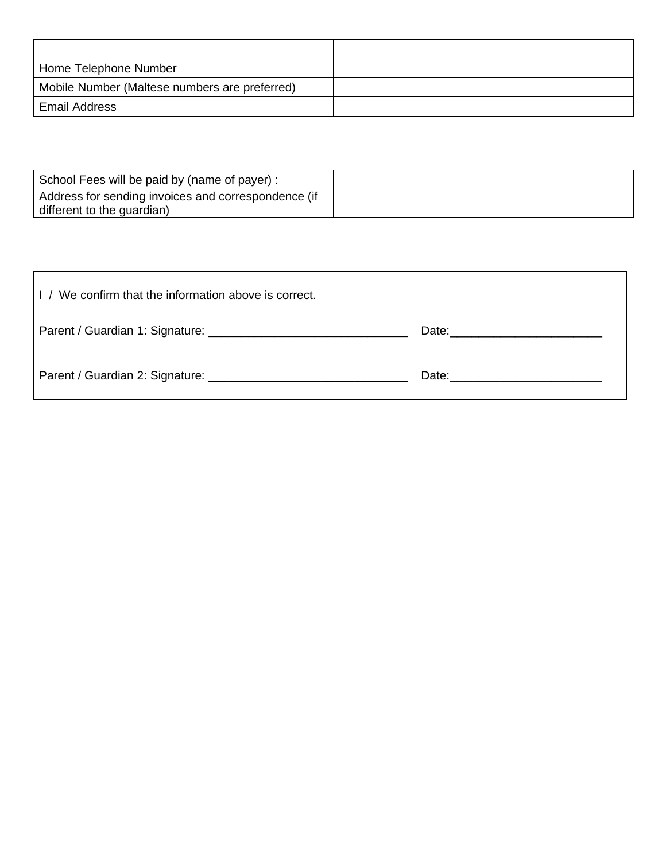| Home Telephone Number                         |  |
|-----------------------------------------------|--|
| Mobile Number (Maltese numbers are preferred) |  |
| <b>Email Address</b>                          |  |

| School Fees will be paid by (name of payer):        |  |
|-----------------------------------------------------|--|
| Address for sending invoices and correspondence (if |  |
| different to the guardian)                          |  |

| I / We confirm that the information above is correct. |                                                                                                                                                                                                                                |
|-------------------------------------------------------|--------------------------------------------------------------------------------------------------------------------------------------------------------------------------------------------------------------------------------|
|                                                       | Date: <u>_____________________</u>                                                                                                                                                                                             |
|                                                       | Date: the contract of the contract of the contract of the contract of the contract of the contract of the contract of the contract of the contract of the contract of the contract of the contract of the contract of the cont |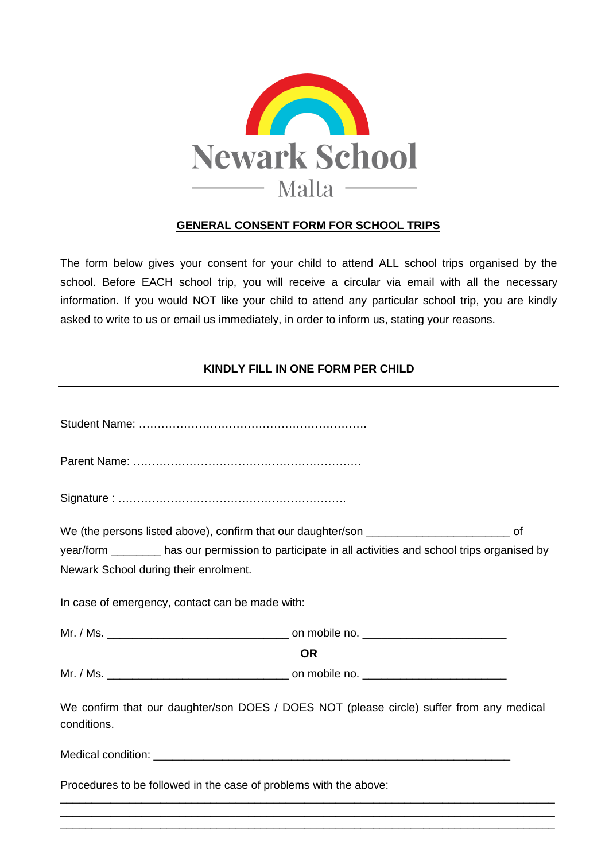

#### **GENERAL CONSENT FORM FOR SCHOOL TRIPS**

The form below gives your consent for your child to attend ALL school trips organised by the school. Before EACH school trip, you will receive a circular via email with all the necessary information. If you would NOT like your child to attend any particular school trip, you are kindly asked to write to us or email us immediately, in order to inform us, stating your reasons.

#### **KINDLY FILL IN ONE FORM PER CHILD**

| year/form _________ has our permission to participate in all activities and school trips organised by   |
|---------------------------------------------------------------------------------------------------------|
| Newark School during their enrolment.                                                                   |
| In case of emergency, contact can be made with:                                                         |
|                                                                                                         |
| <b>OR</b>                                                                                               |
|                                                                                                         |
| We confirm that our daughter/son DOES / DOES NOT (please circle) suffer from any medical<br>conditions. |
|                                                                                                         |
| Procedures to be followed in the case of problems with the above:                                       |
|                                                                                                         |

\_\_\_\_\_\_\_\_\_\_\_\_\_\_\_\_\_\_\_\_\_\_\_\_\_\_\_\_\_\_\_\_\_\_\_\_\_\_\_\_\_\_\_\_\_\_\_\_\_\_\_\_\_\_\_\_\_\_\_\_\_\_\_\_\_\_\_\_\_\_\_\_\_\_\_\_\_\_\_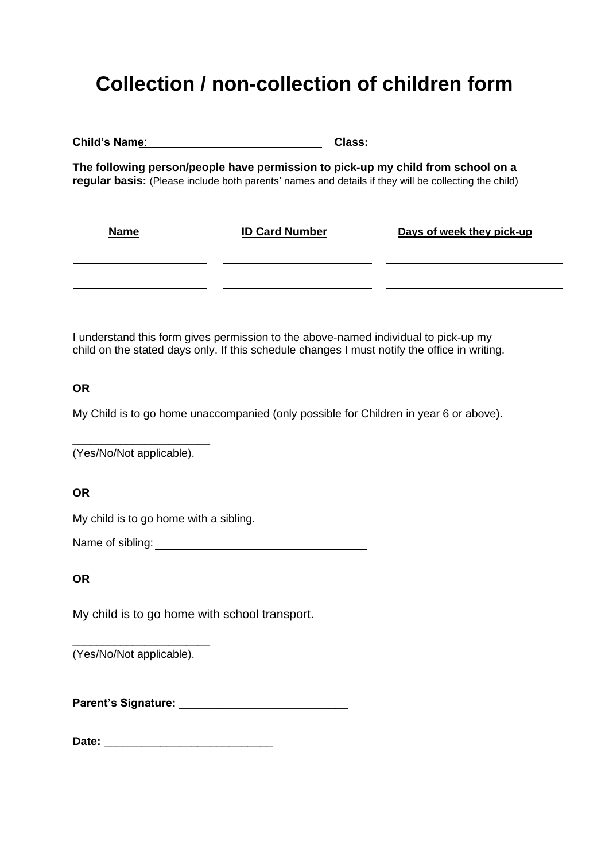# **Collection / non-collection of children form**

**Child's Name**: **Class:**

**The following person/people have permission to pick-up my child from school on a regular basis:** (Please include both parents' names and details if they will be collecting the child)

| <b>Name</b> | <b>ID Card Number</b> | Days of week they pick-up |
|-------------|-----------------------|---------------------------|
|             |                       |                           |
|             |                       |                           |

I understand this form gives permission to the above-named individual to pick-up my child on the stated days only. If this schedule changes I must notify the office in writing.

**OR**

My Child is to go home unaccompanied (only possible for Children in year 6 or above).

\_\_\_\_\_\_\_\_\_\_\_\_\_\_\_\_\_\_\_\_\_\_\_ (Yes/No/Not applicable).

**OR**

My child is to go home with a sibling.

Name of sibling:

**OR**

My child is to go home with school transport.

\_\_\_\_\_\_\_\_\_\_\_\_\_\_\_\_\_\_\_\_\_\_\_ (Yes/No/Not applicable).

**Parent's Signature:** \_\_\_\_\_\_\_\_\_\_\_\_\_\_\_\_\_\_\_\_\_\_\_\_\_\_\_

Date: